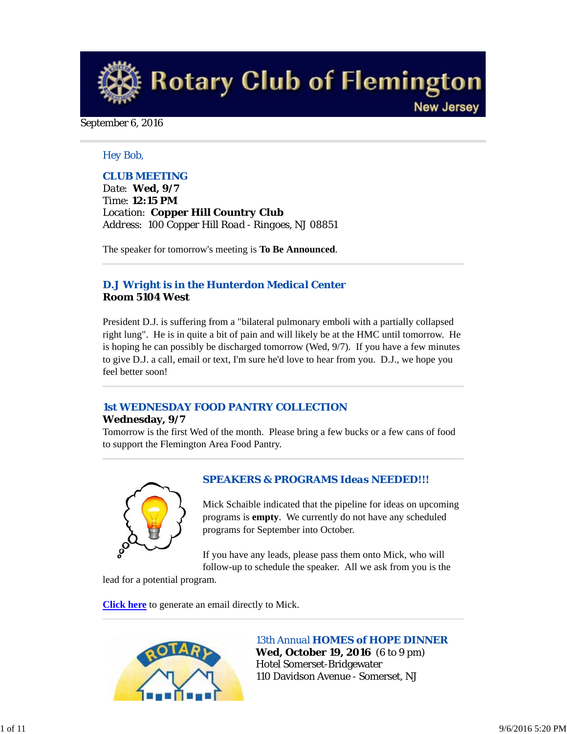**Rotary Club of Flemington New Jersey** 

#### September 6, 2016

#### *Hey Bob,*

#### *CLUB MEETING*

*Date: Wed, 9/7 Time: 12:15 PM Location: Copper Hill Country Club Address: 100 Copper Hill Road - Ringoes, NJ 08851*

The speaker for tomorrow's meeting is **To Be Announced**.

#### *D.J Wright is in the Hunterdon Medical Center* **Room 5104 West**

President D.J. is suffering from a "bilateral pulmonary emboli with a partially collapsed right lung". He is in quite a bit of pain and will likely be at the HMC until tomorrow. He is hoping he can possibly be discharged tomorrow (Wed, 9/7). If you have a few minutes to give D.J. a call, email or text, I'm sure he'd love to hear from you. D.J., we hope you feel better soon!

## *1st WEDNESDAY FOOD PANTRY COLLECTION*

#### **Wednesday, 9/7**

Tomorrow is the first Wed of the month. Please bring a few bucks or a few cans of food to support the Flemington Area Food Pantry.



#### *SPEAKERS & PROGRAMS Ideas NEEDED!!!*

Mick Schaible indicated that the pipeline for ideas on upcoming programs is **empty**. We currently do not have any scheduled programs for September into October.

If you have any leads, please pass them onto Mick, who will follow-up to schedule the speaker. All we ask from you is the

lead for a potential program.

**Click here** to generate an email directly to Mick.



*13th Annual HOMES of HOPE DINNER* **Wed, October 19, 2016** (6 to 9 pm) Hotel Somerset-Bridgewater 110 Davidson Avenue - Somerset, NJ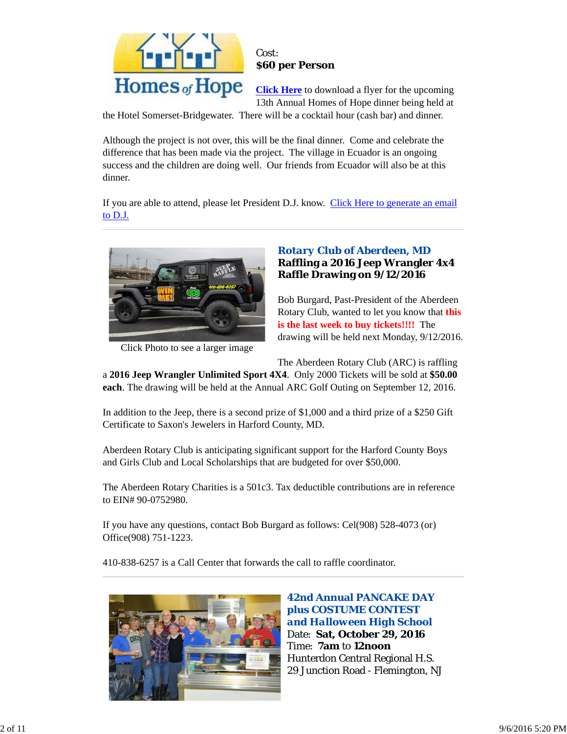

#### Cost: **\$60 per Person**

**Click Here** to download a flyer for the upcoming 13th Annual Homes of Hope dinner being held at

the Hotel Somerset-Bridgewater. There will be a cocktail hour (cash bar) and dinner.

Although the project is not over, this will be the final dinner. Come and celebrate the difference that has been made via the project. The village in Ecuador is an ongoing success and the children are doing well. Our friends from Ecuador will also be at this dinner.

If you are able to attend, please let President D.J. know. Click Here to generate an email to D.J.



Click Photo to see a larger image

## *Rotary Club of Aberdeen, MD* **Raffling a 2016 Jeep Wrangler 4x4 Raffle Drawing on 9/12/2016**

Bob Burgard, Past-President of the Aberdeen Rotary Club, wanted to let you know that **this is the last week to buy tickets!!!!** The drawing will be held next Monday, 9/12/2016.

The Aberdeen Rotary Club (ARC) is raffling

a **2016 Jeep Wrangler Unlimited Sport 4X4**. Only 2000 Tickets will be sold at **\$50.00 each**. The drawing will be held at the Annual ARC Golf Outing on September 12, 2016.

In addition to the Jeep, there is a second prize of \$1,000 and a third prize of a \$250 Gift Certificate to Saxon's Jewelers in Harford County, MD.

Aberdeen Rotary Club is anticipating significant support for the Harford County Boys and Girls Club and Local Scholarships that are budgeted for over \$50,000.

The Aberdeen Rotary Charities is a 501c3. Tax deductible contributions are in reference to EIN# 90-0752980.

If you have any questions, contact Bob Burgard as follows: Cel(908) 528-4073 (or) Office(908) 751-1223.

410-838-6257 is a Call Center that forwards the call to raffle coordinator.



**42nd Annual PANCAKE DAY plus COSTUME CONTEST**  *and Halloween High School* Date: **Sat, October 29, 2016** Time: **7am** to **12noon** Hunterdon Central Regional H.S. 29 Junction Road - Flemington, NJ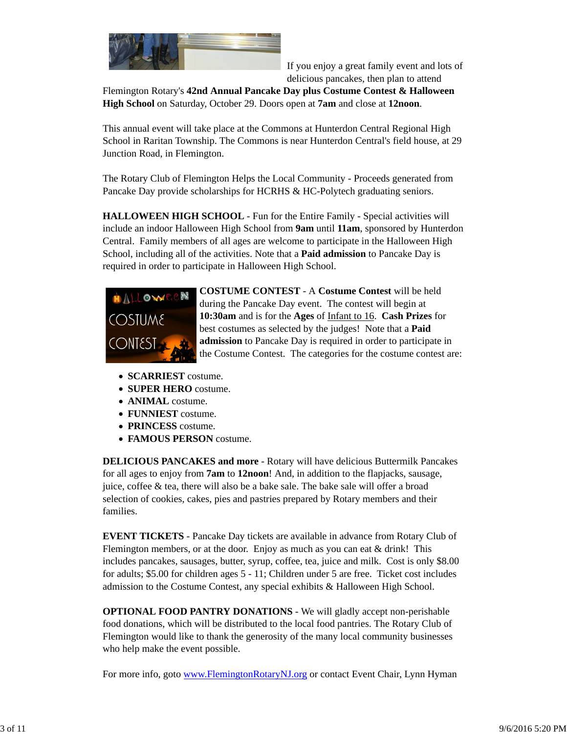

If you enjoy a great family event and lots of delicious pancakes, then plan to attend

Flemington Rotary's **42nd Annual Pancake Day plus Costume Contest & Halloween High School** on Saturday, October 29. Doors open at **7am** and close at **12noon**.

This annual event will take place at the Commons at Hunterdon Central Regional High School in Raritan Township. The Commons is near Hunterdon Central's field house, at 29 Junction Road, in Flemington.

The Rotary Club of Flemington Helps the Local Community - Proceeds generated from Pancake Day provide scholarships for HCRHS & HC-Polytech graduating seniors.

**HALLOWEEN HIGH SCHOOL** - Fun for the Entire Family - Special activities will include an indoor Halloween High School from **9am** until **11am**, sponsored by Hunterdon Central. Family members of all ages are welcome to participate in the Halloween High School, including all of the activities. Note that a **Paid admission** to Pancake Day is required in order to participate in Halloween High School.



**COSTUME CONTEST** - A **Costume Contest** will be held during the Pancake Day event. The contest will begin at **10:30am** and is for the **Ages** of Infant to 16. **Cash Prizes** for best costumes as selected by the judges! Note that a **Paid admission** to Pancake Day is required in order to participate in the Costume Contest. The categories for the costume contest are:

- **SCARRIEST** costume.
- **SUPER HERO** costume.
- **ANIMAL** costume.
- **FUNNIEST** costume.
- **PRINCESS** costume.
- **FAMOUS PERSON** costume.

**DELICIOUS PANCAKES and more** - Rotary will have delicious Buttermilk Pancakes for all ages to enjoy from **7am** to **12noon**! And, in addition to the flapjacks, sausage, juice, coffee & tea, there will also be a bake sale. The bake sale will offer a broad selection of cookies, cakes, pies and pastries prepared by Rotary members and their families.

**EVENT TICKETS** - Pancake Day tickets are available in advance from Rotary Club of Flemington members, or at the door. Enjoy as much as you can eat  $&$  drink! This includes pancakes, sausages, butter, syrup, coffee, tea, juice and milk. Cost is only \$8.00 for adults; \$5.00 for children ages 5 - 11; Children under 5 are free. Ticket cost includes admission to the Costume Contest, any special exhibits & Halloween High School.

**OPTIONAL FOOD PANTRY DONATIONS** - We will gladly accept non-perishable food donations, which will be distributed to the local food pantries. The Rotary Club of Flemington would like to thank the generosity of the many local community businesses who help make the event possible.

For more info, goto www.FlemingtonRotaryNJ.org or contact Event Chair, Lynn Hyman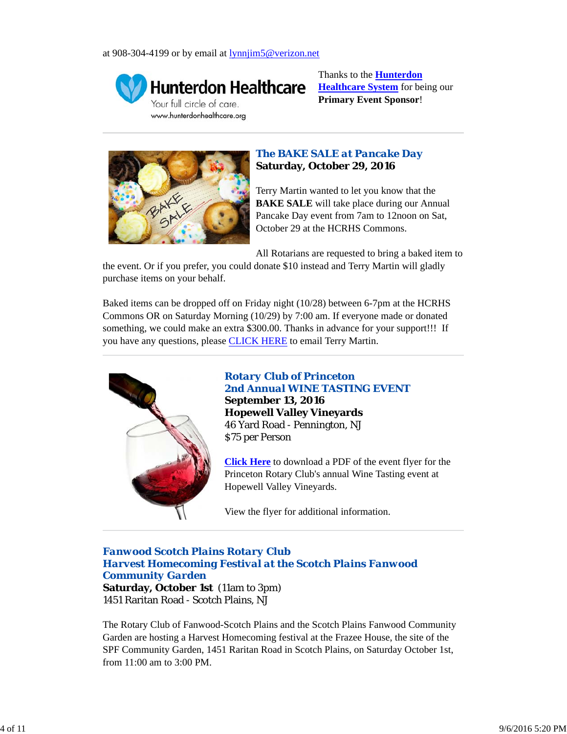

**Hunterdon Healthcare** Your full circle of care. www.hunterdonhealthcare.org

Thanks to the **Hunterdon Healthcare System** for being our **Primary Event Sponsor**!



## *The BAKE SALE at Pancake Day* **Saturday, October 29, 2016**

Terry Martin wanted to let you know that the **BAKE SALE** will take place during our Annual Pancake Day event from 7am to 12noon on Sat, October 29 at the HCRHS Commons.

All Rotarians are requested to bring a baked item to

the event. Or if you prefer, you could donate \$10 instead and Terry Martin will gladly purchase items on your behalf.

Baked items can be dropped off on Friday night (10/28) between 6-7pm at the HCRHS Commons OR on Saturday Morning (10/29) by 7:00 am. If everyone made or donated something, we could make an extra \$300.00. Thanks in advance for your support!!! If you have any questions, please CLICK HERE to email Terry Martin.



## *Rotary Club of Princeton 2nd Annual WINE TASTING EVENT* **September 13, 2016 Hopewell Valley Vineyards** 46 Yard Road - Pennington, NJ \$75 per Person

**Click Here** to download a PDF of the event flyer for the Princeton Rotary Club's annual Wine Tasting event at Hopewell Valley Vineyards.

View the flyer for additional information.

## *Fanwood Scotch Plains Rotary Club Harvest Homecoming Festival at the Scotch Plains Fanwood Community Garden*

**Saturday, October 1st** (11am to 3pm) 1451 Raritan Road - Scotch Plains, NJ

The Rotary Club of Fanwood-Scotch Plains and the Scotch Plains Fanwood Community Garden are hosting a Harvest Homecoming festival at the Frazee House, the site of the SPF Community Garden, 1451 Raritan Road in Scotch Plains, on Saturday October 1st, from 11:00 am to 3:00 PM.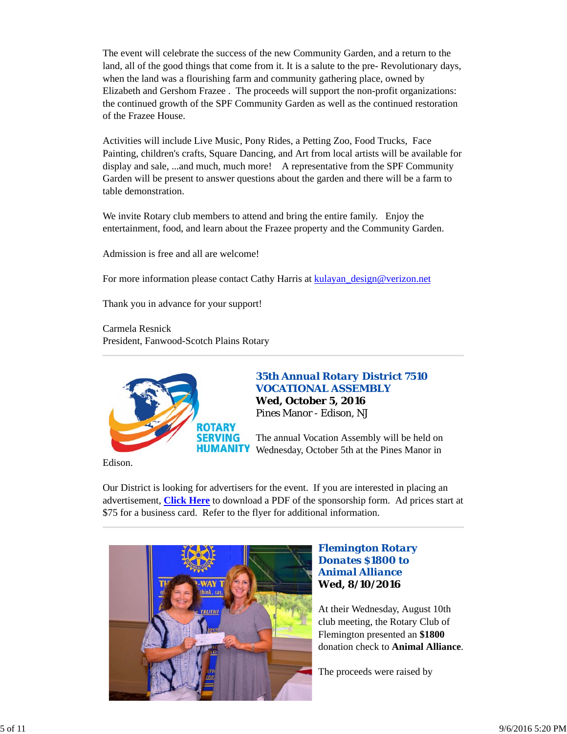The event will celebrate the success of the new Community Garden, and a return to the land, all of the good things that come from it. It is a salute to the pre- Revolutionary days, when the land was a flourishing farm and community gathering place, owned by Elizabeth and Gershom Frazee . The proceeds will support the non-profit organizations: the continued growth of the SPF Community Garden as well as the continued restoration of the Frazee House.

Activities will include Live Music, Pony Rides, a Petting Zoo, Food Trucks, Face Painting, children's crafts, Square Dancing, and Art from local artists will be available for display and sale, ...and much, much more! A representative from the SPF Community Garden will be present to answer questions about the garden and there will be a farm to table demonstration.

We invite Rotary club members to attend and bring the entire family. Enjoy the entertainment, food, and learn about the Frazee property and the Community Garden.

Admission is free and all are welcome!

For more information please contact Cathy Harris at kulayan\_design@verizon.net

Thank you in advance for your support!

Carmela Resnick President, Fanwood-Scotch Plains Rotary



*35th Annual Rotary District 7510 VOCATIONAL ASSEMBLY* **Wed, October 5, 2016** Pines Manor - Edison, NJ

The annual Vocation Assembly will be held on Wednesday, October 5th at the Pines Manor in

Edison.

Our District is looking for advertisers for the event. If you are interested in placing an advertisement, **Click Here** to download a PDF of the sponsorship form. Ad prices start at \$75 for a business card. Refer to the flyer for additional information.



## *Flemington Rotary Donates \$1800 to Animal Alliance* **Wed, 8/10/2016**

At their Wednesday, August 10th club meeting, the Rotary Club of Flemington presented an **\$1800** donation check to **Animal Alliance**.

The proceeds were raised by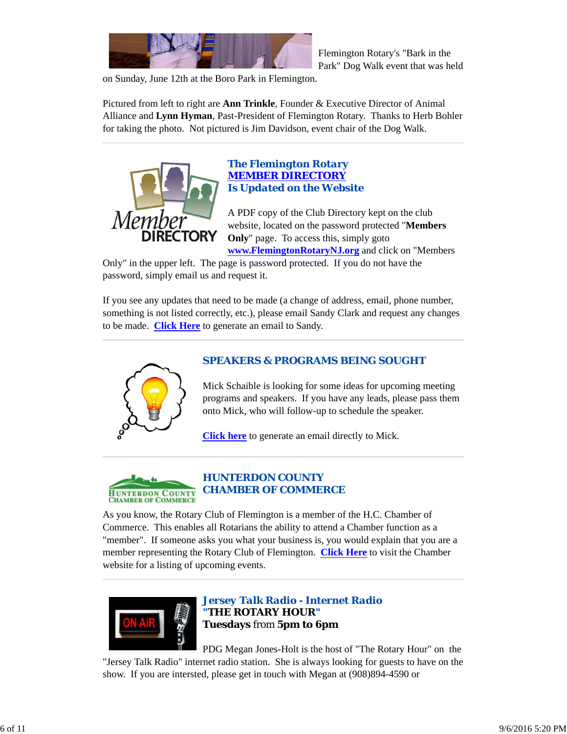

Flemington Rotary's "Bark in the Park" Dog Walk event that was held

on Sunday, June 12th at the Boro Park in Flemington.

Pictured from left to right are **Ann Trinkle**, Founder & Executive Director of Animal Alliance and **Lynn Hyman**, Past-President of Flemington Rotary. Thanks to Herb Bohler for taking the photo. Not pictured is Jim Davidson, event chair of the Dog Walk.



#### *The Flemington Rotary MEMBER DIRECTORY Is Updated on the Website*

A PDF copy of the Club Directory kept on the club website, located on the password protected "**Members Only**" page. To access this, simply goto **www.FlemingtonRotaryNJ.org** and click on "Members

Only" in the upper left. The page is password protected. If you do not have the password, simply email us and request it.

If you see any updates that need to be made (a change of address, email, phone number, something is not listed correctly, etc.), please email Sandy Clark and request any changes to be made. **Click Here** to generate an email to Sandy.



## *SPEAKERS & PROGRAMS BEING SOUGHT*

Mick Schaible is looking for some ideas for upcoming meeting programs and speakers. If you have any leads, please pass them onto Mick, who will follow-up to schedule the speaker.

**Click here** to generate an email directly to Mick.



As you know, the Rotary Club of Flemington is a member of the H.C. Chamber of Commerce. This enables all Rotarians the ability to attend a Chamber function as a "member". If someone asks you what your business is, you would explain that you are a member representing the Rotary Club of Flemington. **Click Here** to visit the Chamber website for a listing of upcoming events.



## *Jersey Talk Radio - Internet Radio "THE ROTARY HOUR"* **Tuesdays** from **5pm to 6pm**

PDG Megan Jones-Holt is the host of "The Rotary Hour" on the

"Jersey Talk Radio" internet radio station. She is always looking for guests to have on the show. If you are intersted, please get in touch with Megan at (908)894-4590 or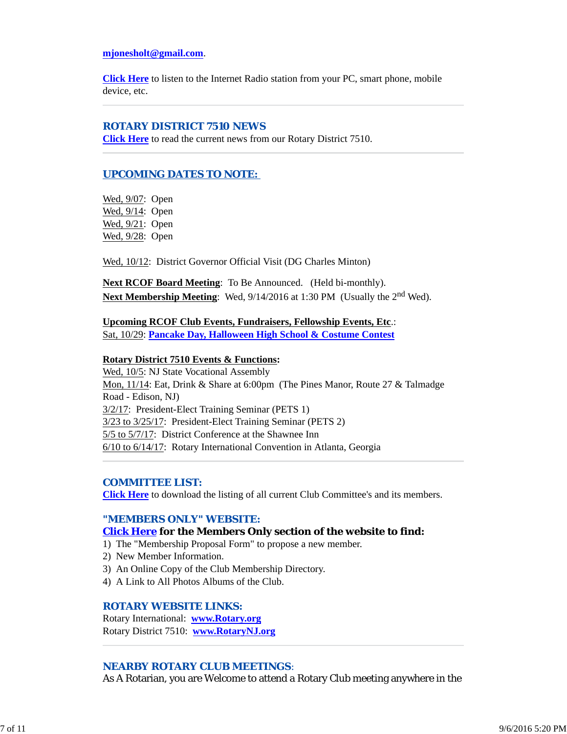#### **mjonesholt@gmail.com**.

**Click Here** to listen to the Internet Radio station from your PC, smart phone, mobile device, etc.

#### *ROTARY DISTRICT 7510 NEWS*

**Click Here** to read the current news from our Rotary District 7510.

## *UPCOMING DATES TO NOTE:*

Wed, 9/07: Open Wed, 9/14: Open Wed, 9/21: Open Wed, 9/28: Open

Wed, 10/12: District Governor Official Visit (DG Charles Minton)

**Next RCOF Board Meeting**: To Be Announced. (Held bi-monthly). **Next Membership Meeting**: Wed,  $9/14/2016$  at 1:30 PM (Usually the 2<sup>nd</sup> Wed).

#### **Upcoming RCOF Club Events, Fundraisers, Fellowship Events, Etc**.: Sat, 10/29: **Pancake Day, Halloween High School & Costume Contest**

#### **Rotary District 7510 Events & Functions:**

Wed, 10/5: NJ State Vocational Assembly Mon, 11/14: Eat, Drink & Share at 6:00pm (The Pines Manor, Route 27 & Talmadge Road - Edison, NJ) 3/2/17: President-Elect Training Seminar (PETS 1) 3/23 to 3/25/17: President-Elect Training Seminar (PETS 2) 5/5 to 5/7/17: District Conference at the Shawnee Inn 6/10 to 6/14/17: Rotary International Convention in Atlanta, Georgia

#### *COMMITTEE LIST:*

**Click Here** to download the listing of all current Club Committee's and its members.

#### *"MEMBERS ONLY" WEBSITE:*

#### **Click Here for the Members Only section of the website to find:**

1) The "Membership Proposal Form" to propose a new member.

- 2) New Member Information.
- 3) An Online Copy of the Club Membership Directory.
- 4) A Link to All Photos Albums of the Club.

#### *ROTARY WEBSITE LINKS:*

Rotary International: **www.Rotary.org** Rotary District 7510: **www.RotaryNJ.org**

#### *NEARBY ROTARY CLUB MEETINGS:*

As A Rotarian, you are Welcome to attend a Rotary Club meeting anywhere in the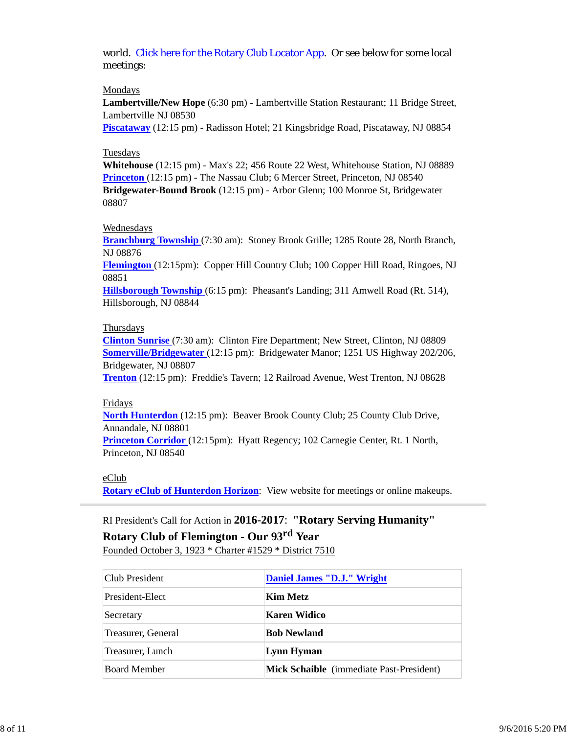world. Click here for the Rotary Club Locator App. Or see below for some local meetings:

#### Mondays

**Lambertville/New Hope** (6:30 pm) - Lambertville Station Restaurant; 11 Bridge Street, Lambertville NJ 08530

**Piscataway** (12:15 pm) - Radisson Hotel; 21 Kingsbridge Road, Piscataway, NJ 08854

#### Tuesdays

**Whitehouse** (12:15 pm) - Max's 22; 456 Route 22 West, Whitehouse Station, NJ 08889 **Princeton** (12:15 pm) - The Nassau Club; 6 Mercer Street, Princeton, NJ 08540 **Bridgewater-Bound Brook** (12:15 pm) - Arbor Glenn; 100 Monroe St, Bridgewater 08807

#### Wednesdays

**Branchburg Township** (7:30 am): Stoney Brook Grille; 1285 Route 28, North Branch, NJ 08876

**Flemington** (12:15pm): Copper Hill Country Club; 100 Copper Hill Road, Ringoes, NJ 08851

**Hillsborough Township** (6:15 pm): Pheasant's Landing; 311 Amwell Road (Rt. 514), Hillsborough, NJ 08844

#### Thursdays

**Clinton Sunrise** (7:30 am): Clinton Fire Department; New Street, Clinton, NJ 08809 **Somerville/Bridgewater** (12:15 pm): Bridgewater Manor; 1251 US Highway 202/206, Bridgewater, NJ 08807

**Trenton** (12:15 pm): Freddie's Tavern; 12 Railroad Avenue, West Trenton, NJ 08628

#### Fridays

**North Hunterdon** (12:15 pm): Beaver Brook County Club; 25 County Club Drive, Annandale, NJ 08801

**Princeton Corridor** (12:15pm): Hyatt Regency; 102 Carnegie Center, Rt. 1 North, Princeton, NJ 08540

#### eClub

**Rotary eClub of Hunterdon Horizon**: View website for meetings or online makeups.

# RI President's Call for Action in **2016-2017**: **"Rotary Serving Humanity"**

## **Rotary Club of Flemington - Our 93rd Year**

Founded October 3, 1923 \* Charter #1529 \* District 7510

| Club President      | Daniel James "D.J." Wright                      |
|---------------------|-------------------------------------------------|
| President-Elect     | Kim Metz                                        |
| Secretary           | Karen Widico                                    |
| Treasurer, General  | <b>Bob Newland</b>                              |
| Treasurer, Lunch    | Lynn Hyman                                      |
| <b>Board Member</b> | <b>Mick Schaible</b> (immediate Past-President) |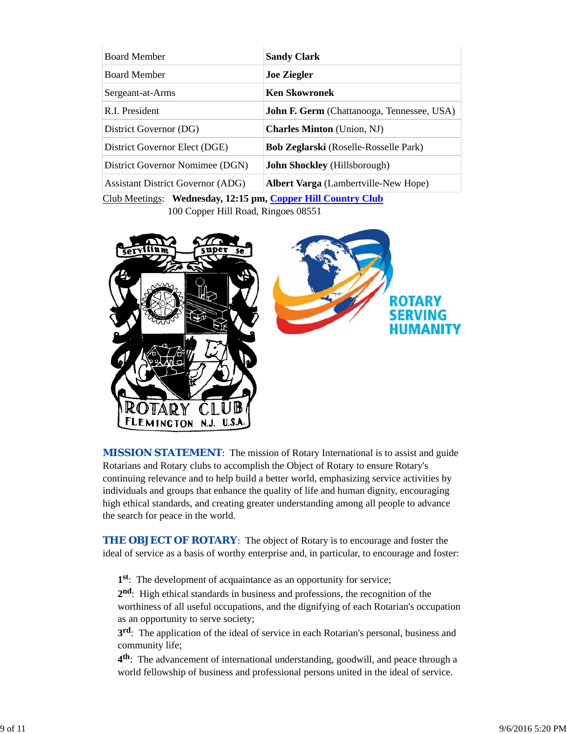| <b>Board Member</b>                                          | <b>Sandy Clark</b>                                |  |  |
|--------------------------------------------------------------|---------------------------------------------------|--|--|
| <b>Board Member</b>                                          | <b>Joe Ziegler</b>                                |  |  |
| Sergeant-at-Arms                                             | <b>Ken Skowronek</b>                              |  |  |
| R.I. President                                               | <b>John F. Germ</b> (Chattanooga, Tennessee, USA) |  |  |
| District Governor (DG)                                       | <b>Charles Minton</b> (Union, NJ)                 |  |  |
| District Governor Elect (DGE)                                | Bob Zeglarski (Roselle-Rosselle Park)             |  |  |
| District Governor Nomimee (DGN)                              | <b>John Shockley</b> (Hillsborough)               |  |  |
| <b>Assistant District Governor (ADG)</b>                     | <b>Albert Varga</b> (Lambertville-New Hope)       |  |  |
| Club Meetings: Wednesday, 12:15 pm, Copper Hill Country Club |                                                   |  |  |

100 Copper Hill Road, Ringoes 08551



**MISSION STATEMENT:** The mission of Rotary International is to assist and guide Rotarians and Rotary clubs to accomplish the Object of Rotary to ensure Rotary's continuing relevance and to help build a better world, emphasizing service activities by individuals and groups that enhance the quality of life and human dignity, encouraging high ethical standards, and creating greater understanding among all people to advance the search for peace in the world.

**THE OBJECT OF ROTARY:** The object of Rotary is to encourage and foster the ideal of service as a basis of worthy enterprise and, in particular, to encourage and foster:

**1st**: The development of acquaintance as an opportunity for service;

**2nd**: High ethical standards in business and professions, the recognition of the worthiness of all useful occupations, and the dignifying of each Rotarian's occupation as an opportunity to serve society;

**3rd**: The application of the ideal of service in each Rotarian's personal, business and community life;

**4th**: The advancement of international understanding, goodwill, and peace through a world fellowship of business and professional persons united in the ideal of service.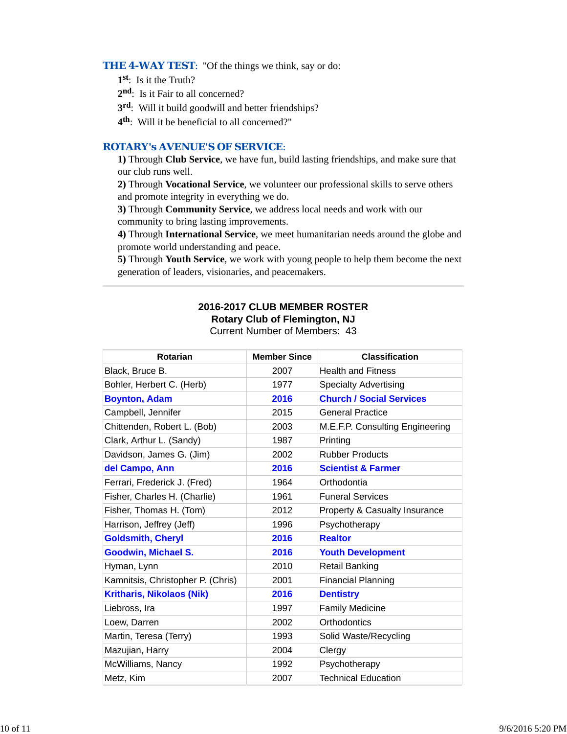#### **THE 4-WAY TEST:** "Of the things we think, say or do:

- **1st**: Is it the Truth?
- 2<sup>nd</sup>: Is it Fair to all concerned?
- **3rd**: Will it build goodwill and better friendships?
- **4th**: Will it be beneficial to all concerned?"

#### *ROTARY's AVENUE'S OF SERVICE*:

**1)** Through **Club Service**, we have fun, build lasting friendships, and make sure that our club runs well.

**2)** Through **Vocational Service**, we volunteer our professional skills to serve others and promote integrity in everything we do.

**3)** Through **Community Service**, we address local needs and work with our community to bring lasting improvements.

**4)** Through **International Service**, we meet humanitarian needs around the globe and promote world understanding and peace.

**5)** Through **Youth Service**, we work with young people to help them become the next generation of leaders, visionaries, and peacemakers.

#### **2016-2017 CLUB MEMBER ROSTER Rotary Club of Flemington, NJ** Current Number of Members: 43

| Rotarian                          | <b>Member Since</b> | <b>Classification</b>           |
|-----------------------------------|---------------------|---------------------------------|
| Black, Bruce B.                   | 2007                | <b>Health and Fitness</b>       |
| Bohler, Herbert C. (Herb)         | 1977                | <b>Specialty Advertising</b>    |
| <b>Boynton, Adam</b>              | 2016                | <b>Church / Social Services</b> |
| Campbell, Jennifer                | 2015                | <b>General Practice</b>         |
| Chittenden, Robert L. (Bob)       | 2003                | M.E.F.P. Consulting Engineering |
| Clark, Arthur L. (Sandy)          | 1987                | Printing                        |
| Davidson, James G. (Jim)          | 2002                | <b>Rubber Products</b>          |
| del Campo, Ann                    | 2016                | <b>Scientist &amp; Farmer</b>   |
| Ferrari, Frederick J. (Fred)      | 1964                | Orthodontia                     |
| Fisher, Charles H. (Charlie)      | 1961                | <b>Funeral Services</b>         |
| Fisher, Thomas H. (Tom)           | 2012                | Property & Casualty Insurance   |
| Harrison, Jeffrey (Jeff)          | 1996                | Psychotherapy                   |
| <b>Goldsmith, Cheryl</b>          | 2016                | <b>Realtor</b>                  |
| <b>Goodwin, Michael S.</b>        | 2016                | <b>Youth Development</b>        |
| Hyman, Lynn                       | 2010                | <b>Retail Banking</b>           |
| Kamnitsis, Christopher P. (Chris) | 2001                | <b>Financial Planning</b>       |
| <b>Kritharis, Nikolaos (Nik)</b>  | 2016                | <b>Dentistry</b>                |
| Liebross, Ira                     | 1997                | <b>Family Medicine</b>          |
| Loew, Darren                      | 2002                | Orthodontics                    |
| Martin, Teresa (Terry)            | 1993                | Solid Waste/Recycling           |
| Mazujian, Harry                   | 2004                | Clergy                          |
| McWilliams, Nancy                 | 1992                | Psychotherapy                   |
| Metz, Kim                         | 2007                | <b>Technical Education</b>      |